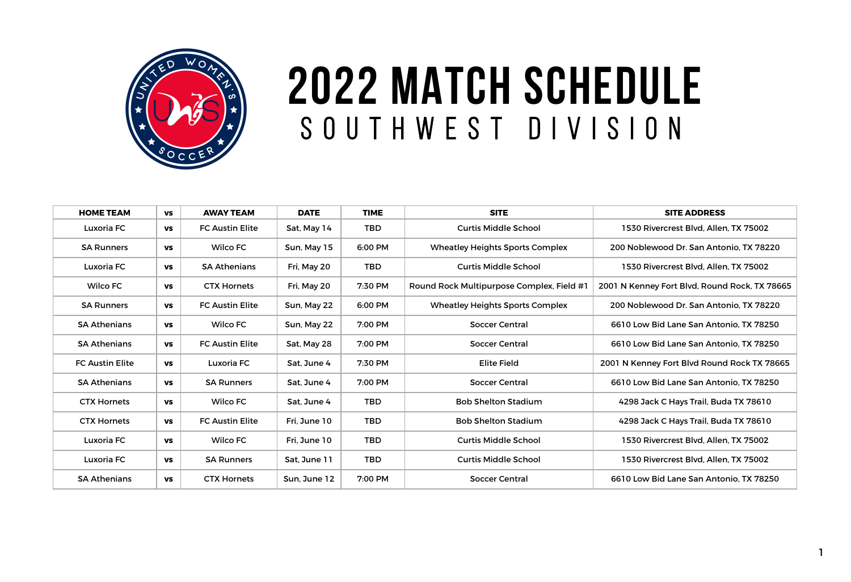| <b>HOME TEAM</b>       | <b>VS</b> | <b>AWAY TEAM</b>       | <b>DATE</b>  | <b>TIME</b> | <b>SITE</b>                               | <b>SITE ADDRESS</b>                           |
|------------------------|-----------|------------------------|--------------|-------------|-------------------------------------------|-----------------------------------------------|
| <b>Luxoria FC</b>      | <b>VS</b> | <b>FC Austin Elite</b> | Sat, May 14  | <b>TBD</b>  | <b>Curtis Middle School</b>               | 1530 Rivercrest Blvd, Allen, TX 75002         |
| <b>SA Runners</b>      | <b>VS</b> | <b>Wilco FC</b>        | Sun, May 15  | 6:00 PM     | <b>Wheatley Heights Sports Complex</b>    | 200 Noblewood Dr. San Antonio, TX 78220       |
| Luxoria FC             | <b>VS</b> | <b>SA Athenians</b>    | Fri, May 20  | <b>TBD</b>  | <b>Curtis Middle School</b>               | 1530 Rivercrest Blvd, Allen, TX 75002         |
| <b>Wilco FC</b>        | <b>VS</b> | <b>CTX Hornets</b>     | Fri, May 20  | 7:30 PM     | Round Rock Multipurpose Complex, Field #1 | 2001 N Kenney Fort Blvd, Round Rock, TX 78665 |
| <b>SA Runners</b>      | <b>VS</b> | <b>FC Austin Elite</b> | Sun, May 22  | 6:00 PM     | <b>Wheatley Heights Sports Complex</b>    | 200 Noblewood Dr. San Antonio, TX 78220       |
| <b>SA Athenians</b>    | <b>VS</b> | <b>Wilco FC</b>        | Sun, May 22  | 7:00 PM     | <b>Soccer Central</b>                     | 6610 Low Bid Lane San Antonio, TX 78250       |
| <b>SA Athenians</b>    | <b>VS</b> | <b>FC Austin Elite</b> | Sat, May 28  | 7:00 PM     | <b>Soccer Central</b>                     | 6610 Low Bid Lane San Antonio. TX 78250       |
| <b>FC Austin Elite</b> | <b>VS</b> | <b>Luxoria FC</b>      | Sat, June 4  | 7:30 PM     | <b>Elite Field</b>                        | 2001 N Kenney Fort Blvd Round Rock TX 78665   |
| <b>SA Athenians</b>    | <b>VS</b> | <b>SA Runners</b>      | Sat, June 4  | 7:00 PM     | <b>Soccer Central</b>                     | 6610 Low Bid Lane San Antonio, TX 78250       |
| <b>CTX Hornets</b>     | <b>VS</b> | <b>Wilco FC</b>        | Sat, June 4  | <b>TBD</b>  | <b>Bob Shelton Stadium</b>                | 4298 Jack C Hays Trail, Buda TX 78610         |
| <b>CTX Hornets</b>     | <b>VS</b> | <b>FC Austin Elite</b> | Fri. June 10 | <b>TBD</b>  | <b>Bob Shelton Stadium</b>                | 4298 Jack C Hays Trail, Buda TX 78610         |
| Luxoria FC             | <b>VS</b> | <b>Wilco FC</b>        | Fri. June 10 | <b>TBD</b>  | <b>Curtis Middle School</b>               | 1530 Rivercrest Blvd, Allen, TX 75002         |
| Luxoria FC             | <b>VS</b> | <b>SA Runners</b>      | Sat, June 11 | <b>TBD</b>  | <b>Curtis Middle School</b>               | 1530 Rivercrest Blvd, Allen, TX 75002         |
| <b>SA Athenians</b>    | <b>VS</b> | <b>CTX Hornets</b>     | Sun, June 12 | 7:00 PM     | <b>Soccer Central</b>                     | 6610 Low Bid Lane San Antonio, TX 78250       |



## **2022 MATCH SCHEDULE** SOUTHWEST DIVIS ION